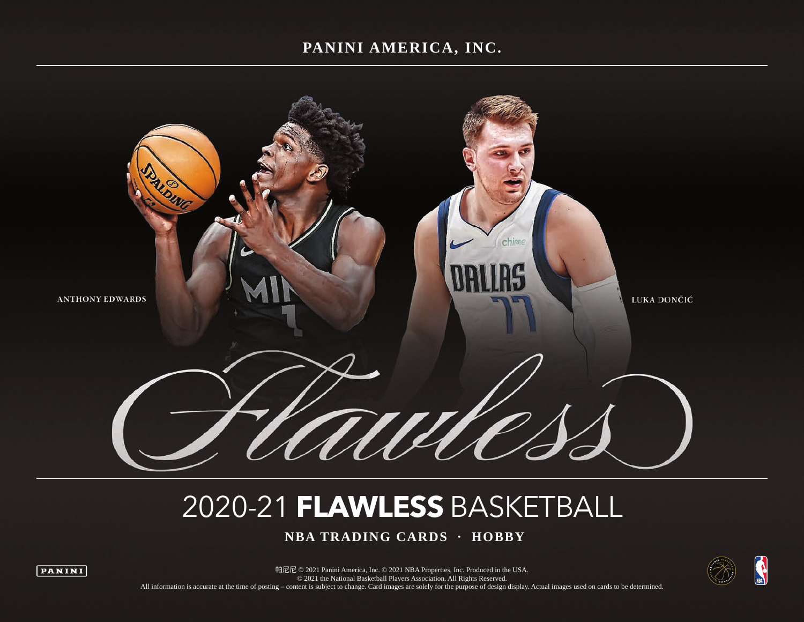### **PANINI AMERICA, INC.**



# 2020-21 **FLAWLESS** BASKETBALL

 **NBA TRADING CARDS · HOBBY**



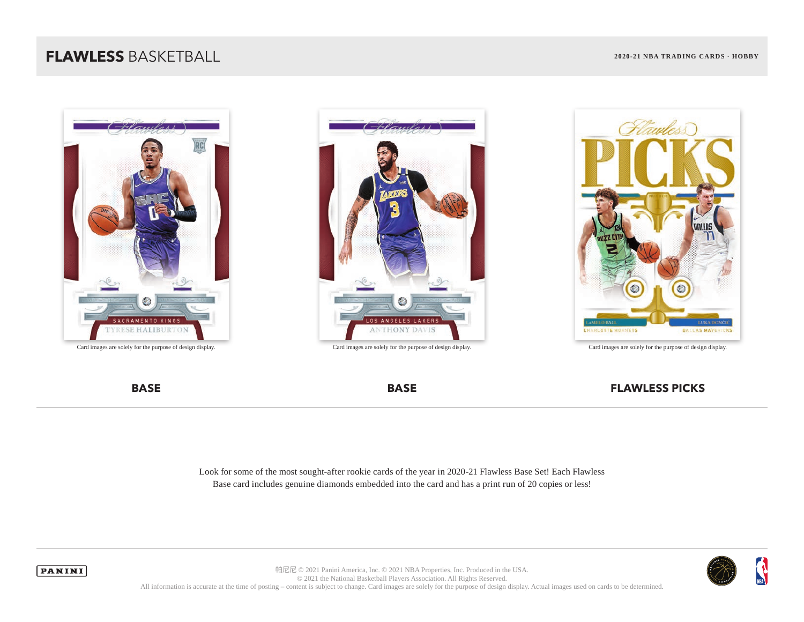







Look for some of the most sought-after rookie cards of the year in 2020-21 Flawless Base Set! Each Flawless Base card includes genuine diamonds embedded into the card and has a print run of 20 copies or less!



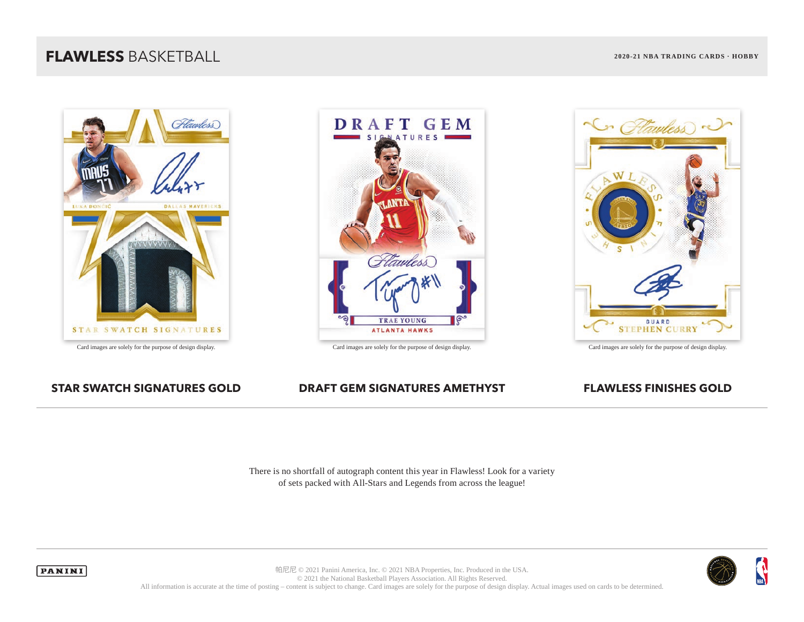





### **STAR SWATCH SIGNATURES GOLD DRAFT GEM SIGNATURES AMETHYST FLAWLESS FINISHES GOLD**

There is no shortfall of autograph content this year in Flawless! Look for a variety of sets packed with All-Stars and Legends from across the league!



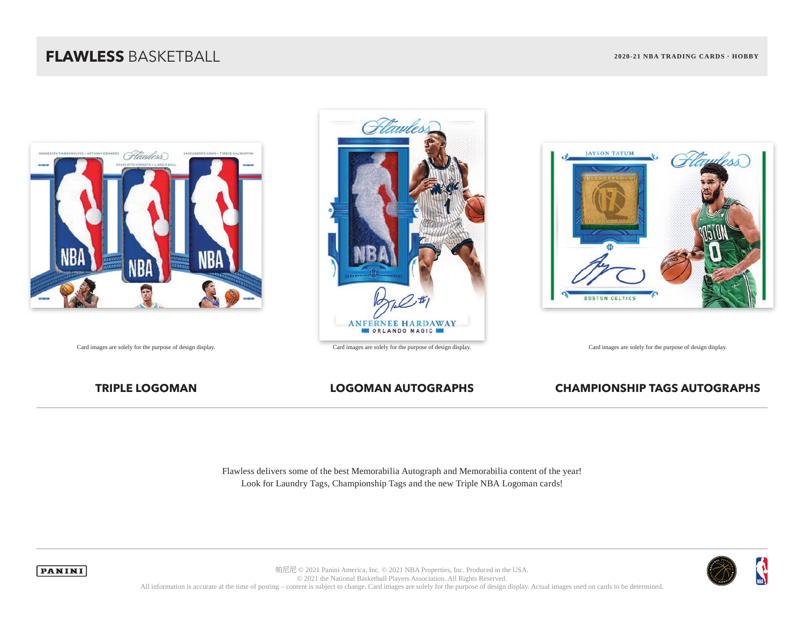





### **TRIPLE LOGOMAN LOGOMAN AUTOGRAPHS CHAMPIONSHIP TAGS AUTOGRAPHS**

Flawless delivers some of the best Memorabilia Autograph and Memorabilia content of the year! Look for Laundry Tags, Championship Tags and the new Triple NBA Logoman cards!